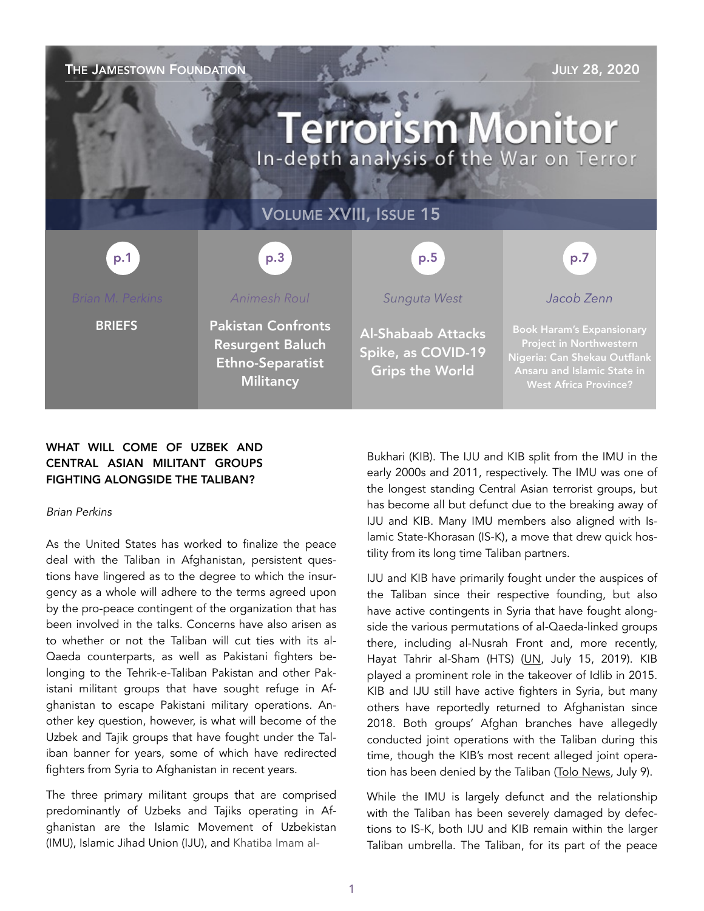| THE JAMESTOWN FOUNDATION<br><b>JULY 28, 2020</b><br><b>Terrorism Monitor</b><br>In-depth analysis of the War on Terror |                                                                                                     |                                                                           |                                                                                                                                                            |
|------------------------------------------------------------------------------------------------------------------------|-----------------------------------------------------------------------------------------------------|---------------------------------------------------------------------------|------------------------------------------------------------------------------------------------------------------------------------------------------------|
| <b>VOLUME XVIII, ISSUE 15</b>                                                                                          |                                                                                                     |                                                                           |                                                                                                                                                            |
| p.1                                                                                                                    | p.3                                                                                                 | p.5                                                                       | p.7                                                                                                                                                        |
| <b>Brian M. Perkins</b>                                                                                                | <b>Animesh Roul</b>                                                                                 | Sunguta West                                                              | Jacob Zenn                                                                                                                                                 |
| <b>BRIEFS</b>                                                                                                          | <b>Pakistan Confronts</b><br><b>Resurgent Baluch</b><br><b>Ethno-Separatist</b><br><b>Militancy</b> | <b>Al-Shabaab Attacks</b><br>Spike, as COVID-19<br><b>Grips the World</b> | <b>Book Haram's Expansionary</b><br>Project in Northwestern<br>Nigeria: Can Shekau Outflank<br>Ansaru and Islamic State in<br><b>West Africa Province?</b> |

## WHAT WILL COME OF UZBEK AND CENTRAL ASIAN MILITANT GROUPS FIGHTING ALONGSIDE THE TALIBAN?

## *Brian Perkins*

As the United States has worked to finalize the peace deal with the Taliban in Afghanistan, persistent questions have lingered as to the degree to which the insurgency as a whole will adhere to the terms agreed upon by the pro-peace contingent of the organization that has been involved in the talks. Concerns have also arisen as to whether or not the Taliban will cut ties with its al-Qaeda counterparts, as well as Pakistani fighters belonging to the Tehrik-e-Taliban Pakistan and other Pakistani militant groups that have sought refuge in Afghanistan to escape Pakistani military operations. Another key question, however, is what will become of the Uzbek and Tajik groups that have fought under the Taliban banner for years, some of which have redirected fighters from Syria to Afghanistan in recent years.

The three primary militant groups that are comprised predominantly of Uzbeks and Tajiks operating in Afghanistan are the Islamic Movement of Uzbekistan (IMU), Islamic Jihad Union (IJU), and Khatiba Imam al-

Bukhari (KIB). The IJU and KIB split from the IMU in the early 2000s and 2011, respectively. The IMU was one of the longest standing Central Asian terrorist groups, but has become all but defunct due to the breaking away of IJU and KIB. Many IMU members also aligned with Islamic State-Khorasan (IS-K), a move that drew quick hostility from its long time Taliban partners.

IJU and KIB have primarily fought under the auspices of the Taliban since their respective founding, but also have active contingents in Syria that have fought alongside the various permutations of al-Qaeda-linked groups there, including al-Nusrah Front and, more recently, Hayat Tahrir al-Sham (HTS) ([UN](https://undocs.or), July 15, 2019). KIB played a prominent role in the takeover of Idlib in 2015. KIB and IJU still have active fighters in Syria, but many others have reportedly returned to Afghanistan since 2018. Both groups' Afghan branches have allegedly conducted joint operations with the Taliban during this time, though the KIB's most recent alleged joint operation has been denied by the Taliban ([Tolo News](https://tolonews.com/index.php/afghanistan/uzbek-militant-group-claims-it-conducted-operation-taliban%22%20%5Ct%20%22_blank), July 9).

While the IMU is largely defunct and the relationship with the Taliban has been severely damaged by defections to IS-K, both IJU and KIB remain within the larger Taliban umbrella. The Taliban, for its part of the peace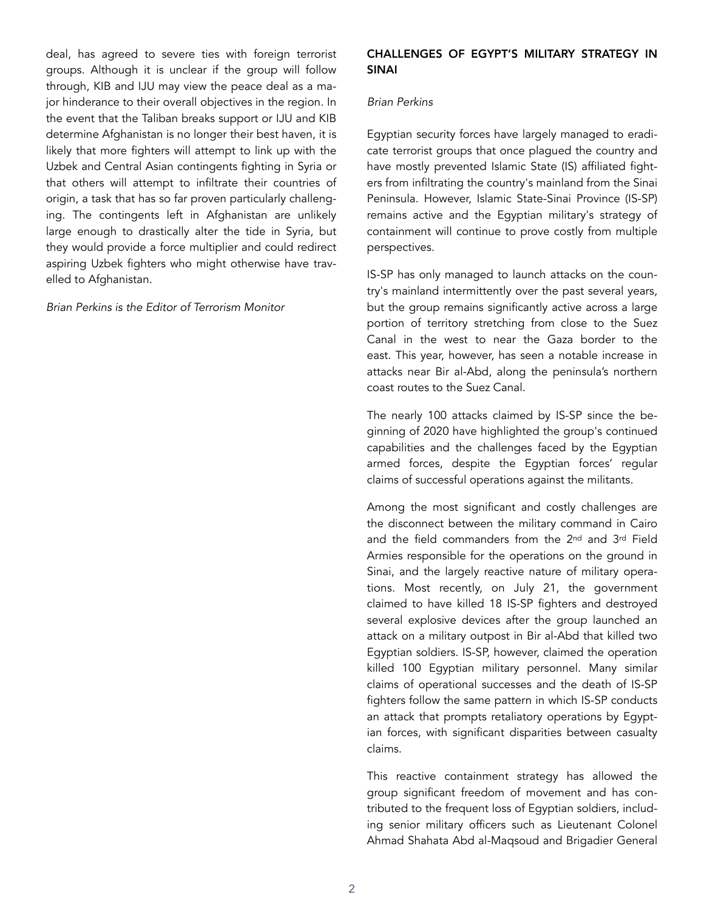deal, has agreed to severe ties with foreign terrorist groups. Although it is unclear if the group will follow through, KIB and IJU may view the peace deal as a major hinderance to their overall objectives in the region. In the event that the Taliban breaks support or IJU and KIB determine Afghanistan is no longer their best haven, it is likely that more fighters will attempt to link up with the Uzbek and Central Asian contingents fighting in Syria or that others will attempt to infiltrate their countries of origin, a task that has so far proven particularly challenging. The contingents left in Afghanistan are unlikely large enough to drastically alter the tide in Syria, but they would provide a force multiplier and could redirect aspiring Uzbek fighters who might otherwise have travelled to Afghanistan.

#### *Brian Perkins is the Editor of Terrorism Monitor*

## CHALLENGES OF EGYPT'S MILITARY STRATEGY IN SINAI

#### *Brian Perkins*

Egyptian security forces have largely managed to eradicate terrorist groups that once plagued the country and have mostly prevented Islamic State (IS) affiliated fighters from infiltrating the country's mainland from the Sinai Peninsula. However, Islamic State-Sinai Province (IS-SP) remains active and the Egyptian military's strategy of containment will continue to prove costly from multiple perspectives.

IS-SP has only managed to launch attacks on the country's mainland intermittently over the past several years, but the group remains significantly active across a large portion of territory stretching from close to the Suez Canal in the west to near the Gaza border to the east. This year, however, has seen a notable increase in attacks near Bir al-Abd, along the peninsula's northern coast routes to the Suez Canal.

The nearly 100 attacks claimed by IS-SP since the beginning of 2020 have highlighted the group's continued capabilities and the challenges faced by the Egyptian armed forces, despite the Egyptian forces' regular claims of successful operations against the militants.

Among the most significant and costly challenges are the disconnect between the military command in Cairo and the field commanders from the 2<sup>nd</sup> and 3<sup>rd</sup> Field Armies responsible for the operations on the ground in Sinai, and the largely reactive nature of military operations. Most recently, on July 21, the government claimed to have killed 18 IS-SP fighters and destroyed several explosive devices after the group launched an attack on a military outpost in Bir al-Abd that killed two Egyptian soldiers. IS-SP, however, claimed the operation killed 100 Egyptian military personnel. Many similar claims of operational successes and the death of IS-SP fighters follow the same pattern in which IS-SP conducts an attack that prompts retaliatory operations by Egyptian forces, with significant disparities between casualty claims.

This reactive containment strategy has allowed the group significant freedom of movement and has contributed to the frequent loss of Egyptian soldiers, including senior military officers such as Lieutenant Colonel Ahmad Shahata Abd al-Maqsoud and Brigadier General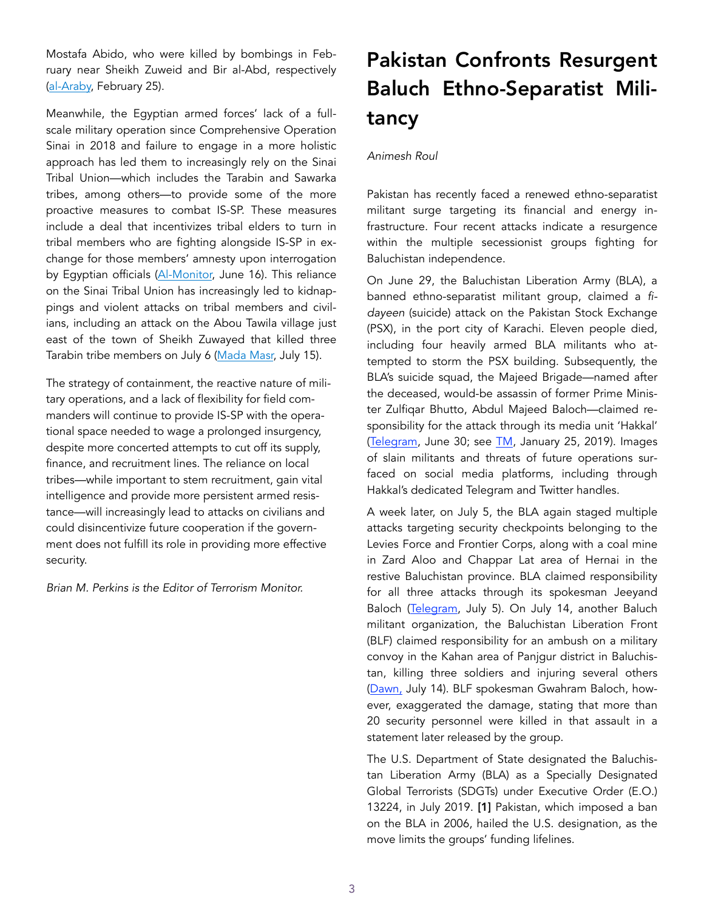Mostafa Abido, who were killed by bombings in February near Sheikh Zuweid and Bir al-Abd, respectively ([al-Araby,](https://english.alaraby.co.uk/english/news/2020/2/25/senior-egyptian-officer-among-dead-in-sinai-bombing) February 25).

Meanwhile, the Egyptian armed forces' lack of a fullscale military operation since Comprehensive Operation Sinai in 2018 and failure to engage in a more holistic approach has led them to increasingly rely on the Sinai Tribal Union—which includes the Tarabin and Sawarka tribes, among others—to provide some of the more proactive measures to combat IS-SP. These measures include a deal that incentivizes tribal elders to turn in tribal members who are fighting alongside IS-SP in exchange for those members' amnesty upon interrogation by Egyptian officials [\(Al-Monitor,](https://www.al-monitor.com/pulse/originals/2020/06/egypt-army-campaign-tribes-pardon-extremist-groups.html%22%20%5Ct%20%22_blank) June 16). This reliance on the Sinai Tribal Union has increasingly led to kidnappings and violent attacks on tribal members and civilians, including an attack on the Abou Tawila village just east of the town of Sheikh Zuwayed that killed three Tarabin tribe members on July 6 ([Mada Masr,](https://madamasr.com/en/2020/07/15/feature/politics/province-of-sinai-targets-union-of-sinai-tribes-fighters-in-sheikh-zuwayed-coronavirus-reaches-central-sinai/%22%20%5Ct%20%22_blank) July 15).

The strategy of containment, the reactive nature of military operations, and a lack of flexibility for field commanders will continue to provide IS-SP with the operational space needed to wage a prolonged insurgency, despite more concerted attempts to cut off its supply, finance, and recruitment lines. The reliance on local tribes—while important to stem recruitment, gain vital intelligence and provide more persistent armed resistance—will increasingly lead to attacks on civilians and could disincentivize future cooperation if the government does not fulfill its role in providing more effective security.

*Brian M. Perkins is the Editor of Terrorism Monitor.* 

# Pakistan Confronts Resurgent Baluch Ethno-Separatist Militancy

### *Animesh Roul*

Pakistan has recently faced a renewed ethno-separatist militant surge targeting its financial and energy infrastructure. Four recent attacks indicate a resurgence within the multiple secessionist groups fighting for Baluchistan independence.

On June 29, the Baluchistan Liberation Army (BLA), a banned ethno-separatist militant group, claimed a *fidayeen* (suicide) attack on the Pakistan Stock Exchange (PSX), in the port city of Karachi. Eleven people died, including four heavily armed BLA militants who attempted to storm the PSX building. Subsequently, the BLA's suicide squad, the Majeed Brigade—named after the deceased, would-be assassin of former Prime Minister Zulfiqar Bhutto, Abdul Majeed Baloch—claimed responsibility for the attack through its media unit 'Hakkal' ([Telegram](https://t.me/hakkal_official/14), June 30; see [TM](https://jamestown.org/program/blas-suicide-squad-majeed-fidayeen-brigade/), January 25, 2019). Images of slain militants and threats of future operations surfaced on social media platforms, including through Hakkal's dedicated Telegram and Twitter handles.

A week later, on July 5, the BLA again staged multiple attacks targeting security checkpoints belonging to the Levies Force and Frontier Corps, along with a coal mine in Zard Aloo and Chappar Lat area of Hernai in the restive Baluchistan province. BLA claimed responsibility for all three attacks through its spokesman Jeeyand Baloch ([Telegram](https://t.me/hakkal_official/29), July 5). On July 14, another Baluch militant organization, the Baluchistan Liberation Front (BLF) claimed responsibility for an ambush on a military convoy in the Kahan area of Panjgur district in Baluchistan, killing three soldiers and injuring several others ([Dawn](https://www.dawn.com/news/1568973/3-soldiers-martyred-in-firing-by-terrorists-in-balochistans-panjgur-ispr), July 14). BLF spokesman Gwahram Baloch, however, exaggerated the damage, stating that more than 20 security personnel were killed in that assault in a statement later released by the group.

The U.S. Department of State designated the Baluchistan Liberation Army (BLA) as a Specially Designated Global Terrorists (SDGTs) under Executive Order (E.O.) 13224, in July 2019. [1] Pakistan, which imposed a ban on the BLA in 2006, hailed the U.S. designation, as the move limits the groups' funding lifelines.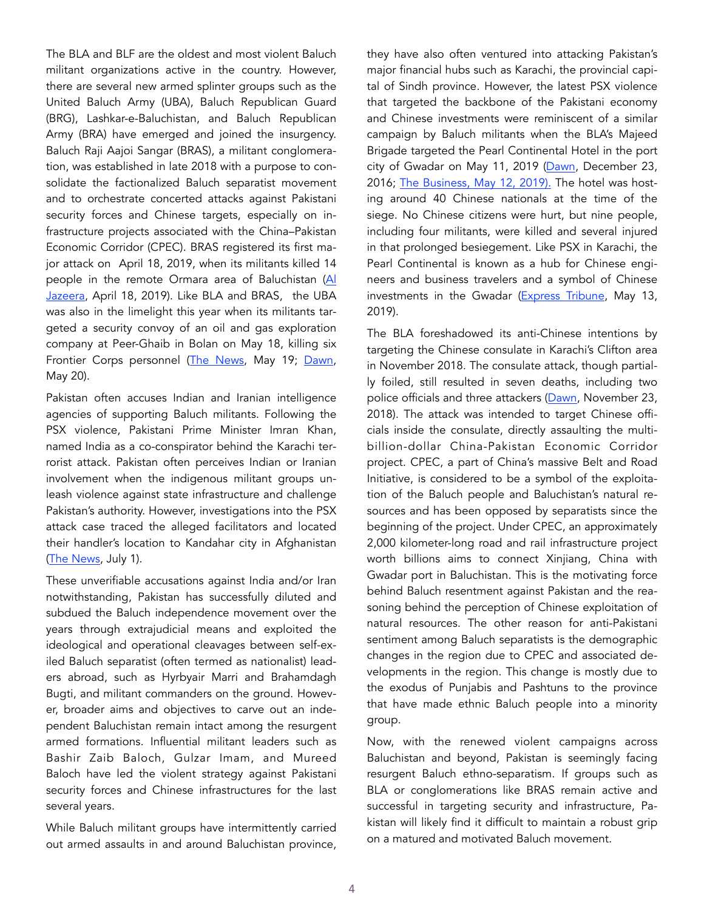The BLA and BLF are the oldest and most violent Baluch militant organizations active in the country. However, there are several new armed splinter groups such as the United Baluch Army (UBA), Baluch Republican Guard (BRG), Lashkar-e-Baluchistan, and Baluch Republican Army (BRA) have emerged and joined the insurgency. Baluch Raji Aajoi Sangar (BRAS), a militant conglomeration, was established in late 2018 with a purpose to consolidate the factionalized Baluch separatist movement and to orchestrate concerted attacks against Pakistani security forces and Chinese targets, especially on infrastructure projects associated with the China–Pakistan Economic Corridor (CPEC). BRAS registered its first major attack on April 18, 2019, when its militants killed 14 people in the remote Ormara area of Baluchistan [\(Al](https://www.aljazeera.com/news/2019/04/gunmen-kill-bus-passengers-pakistan-balochistan-official-190418045138814.html)  [Jazeera,](https://www.aljazeera.com/news/2019/04/gunmen-kill-bus-passengers-pakistan-balochistan-official-190418045138814.html) April 18, 2019). Like BLA and BRAS, the UBA was also in the limelight this year when its militants targeted a security convoy of an oil and gas exploration company at Peer-Ghaib in Bolan on May 18, killing six Frontier Corps personnel [\(The News](https://www.thenews.com.pk/latest/660544-seven-soldiers-martyred-in-two-separate-incidents-in-balochistan), May 19; [Dawn,](https://www.dawn.com/news/1558421) May 20).

Pakistan often accuses Indian and Iranian intelligence agencies of supporting Baluch militants. Following the PSX violence, Pakistani Prime Minister Imran Khan, named India as a co-conspirator behind the Karachi terrorist attack. Pakistan often perceives Indian or Iranian involvement when the indigenous militant groups unleash violence against state infrastructure and challenge Pakistan's authority. However, investigations into the PSX attack case traced the alleged facilitators and located their handler's location to Kandahar city in Afghanistan ([The News](https://www.thenews.com.pk/latest/680553-terrorists-in-psx-shooting-got-directions-from-afghanistan-investigative-sources), July 1).

These unverifiable accusations against India and/or Iran notwithstanding, Pakistan has successfully diluted and subdued the Baluch independence movement over the years through extrajudicial means and exploited the ideological and operational cleavages between self-exiled Baluch separatist (often termed as nationalist) leaders abroad, such as Hyrbyair Marri and Brahamdagh Bugti, and militant commanders on the ground. However, broader aims and objectives to carve out an independent Baluchistan remain intact among the resurgent armed formations. Influential militant leaders such as Bashir Zaib Baloch, Gulzar Imam, and Mureed Baloch have led the violent strategy against Pakistani security forces and Chinese infrastructures for the last several years.

While Baluch militant groups have intermittently carried out armed assaults in and around Baluchistan province,

they have also often ventured into attacking Pakistan's major financial hubs such as Karachi, the provincial capital of Sindh province. However, the latest PSX violence that targeted the backbone of the Pakistani economy and Chinese investments were reminiscent of a similar campaign by Baluch militants when the BLA's Majeed Brigade targeted the Pearl Continental Hotel in the port city of Gwadar on May 11, 2019 [\(Dawn,](https://www.dawn.com/news/1304006) December 23, 2016; [The Business, May 12, 2019\).](https://thebusiness.com.pk/militants-attack-gwadar-five-star-hotel-kill-one/amp/) The hotel was hosting around 40 Chinese nationals at the time of the siege. No Chinese citizens were hurt, but nine people, including four militants, were killed and several injured in that prolonged besiegement. Like PSX in Karachi, the Pearl Continental is known as a hub for Chinese engineers and business travelers and a symbol of Chinese investments in the Gwadar [\(Express Tribune,](https://tribune.com.pk/story/1971558/missing-person-involved-gwadar-hotel-attack-killed) May 13, 2019).

The BLA foreshadowed its anti-Chinese intentions by targeting the Chinese consulate in Karachi's Clifton area in November 2018. The consulate attack, though partially foiled, still resulted in seven deaths, including two police officials and three attackers ([Dawn,](https://www.dawn.com/news/1447192) November 23, 2018). The attack was intended to target Chinese officials inside the consulate, directly assaulting the multibillion-dollar China-Pakistan Economic Corridor project. CPEC, a part of China's massive Belt and Road Initiative, is considered to be a symbol of the exploitation of the Baluch people and Baluchistan's natural resources and has been opposed by separatists since the beginning of the project. Under CPEC, an approximately 2,000 kilometer-long road and rail infrastructure project worth billions aims to connect Xinjiang, China with Gwadar port in Baluchistan. This is the motivating force behind Baluch resentment against Pakistan and the reasoning behind the perception of Chinese exploitation of natural resources. The other reason for anti-Pakistani sentiment among Baluch separatists is the demographic changes in the region due to CPEC and associated developments in the region. This change is mostly due to the exodus of Punjabis and Pashtuns to the province that have made ethnic Baluch people into a minority group.

Now, with the renewed violent campaigns across Baluchistan and beyond, Pakistan is seemingly facing resurgent Baluch ethno-separatism. If groups such as BLA or conglomerations like BRAS remain active and successful in targeting security and infrastructure, Pakistan will likely find it difficult to maintain a robust grip on a matured and motivated Baluch movement.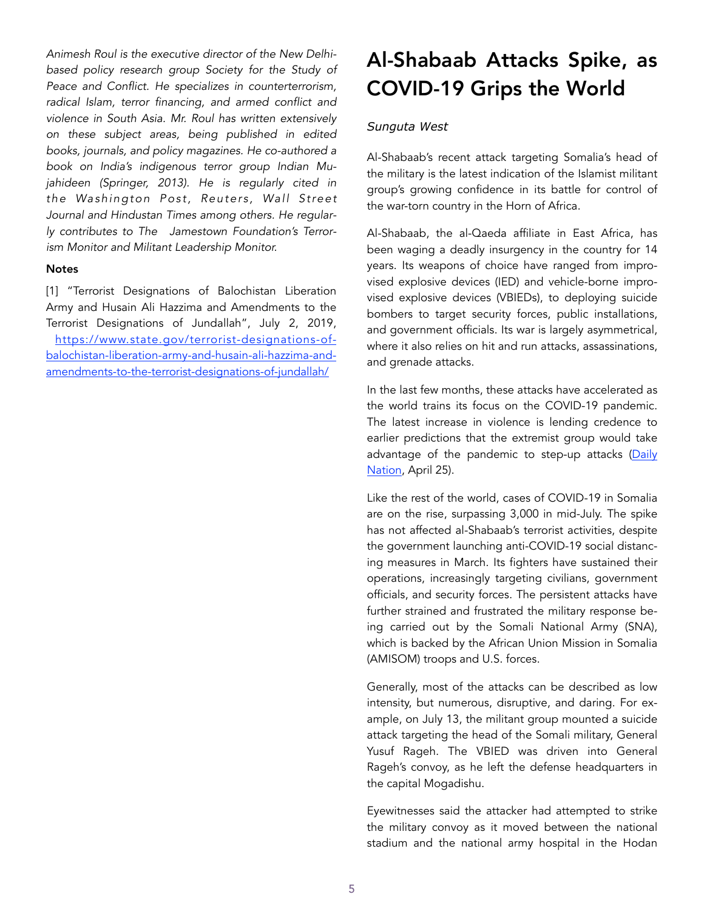*Animesh Roul is the executive director of the New Delhibased policy research group [Society for the Study of](http://www.sspconline.org/)  [Peace and Conflict](http://www.sspconline.org/). He specializes in counterterrorism, radical Islam, terror financing, and armed conflict and violence in South Asia. Mr. Roul has written extensively on these subject areas, being published in edited books, journals, and policy magazines. He co-authored a book on India's indigenous terror group Indian Mujahideen (Springer, 2013). He is regularly cited in the Washington Post, Reuters, Wall Street Journal and Hindustan Times among others. He regularly contributes to The Jamestown Foundation's Terrorism Monitor and Militant Leadership Monitor.* 

#### **Notes**

[1] "Terrorist Designations of Balochistan Liberation Army and Husain Ali Hazzima and Amendments to the Terrorist Designations of Jundallah", July 2, 2019, https://www.state.gov/terrorist-designations-ofbalochistan-liberation-army-and-husain-ali-hazzima-andamendments-to-the-terrorist-designations-of-jundallah/

## Al-Shabaab Attacks Spike, as COVID-19 Grips the World

#### *Sunguta West*

Al-Shabaab's recent attack targeting Somalia's head of the military is the latest indication of the Islamist militant group's growing confidence in its battle for control of the war-torn country in the Horn of Africa.

Al-Shabaab, the al-Qaeda affiliate in East Africa, has been waging a deadly insurgency in the country for 14 years. Its weapons of choice have ranged from improvised explosive devices (IED) and vehicle-borne improvised explosive devices (VBIEDs), to deploying suicide bombers to target security forces, public installations, and government officials. Its war is largely asymmetrical, where it also relies on hit and run attacks, assassinations, and grenade attacks.

In the last few months, these attacks have accelerated as the world trains its focus on the COVID-19 pandemic. The latest increase in violence is lending credence to earlier predictions that the extremist group would take advantage of the pandemic to step-up attacks ([Daily](https://www.nation.co.ke/kenya/news/africa/covid-19-experts-warn-of-potential-wave-of-extremism-287492) [Nation](https://www.nation.co.ke/kenya/news/africa/covid-19-experts-warn-of-potential-wave-of-extremism-287492), April 25).

Like the rest of the world, cases of COVID-19 in Somalia are on the rise, surpassing 3,000 in mid-July. The spike has not affected al-Shabaab's terrorist activities, despite the government launching anti-COVID-19 social distancing measures in March. Its fighters have sustained their operations, increasingly targeting civilians, government officials, and security forces. The persistent attacks have further strained and frustrated the military response being carried out by the Somali National Army (SNA), which is backed by the African Union Mission in Somalia (AMISOM) troops and U.S. forces.

Generally, most of the attacks can be described as low intensity, but numerous, disruptive, and daring. For example, on July 13, the militant group mounted a suicide attack targeting the head of the Somali military, General Yusuf Rageh. The VBIED was driven into General Rageh's convoy, as he left the defense headquarters in the capital Mogadishu.

Eyewitnesses said the attacker had attempted to strike the military convoy as it moved between the national stadium and the national army hospital in the Hodan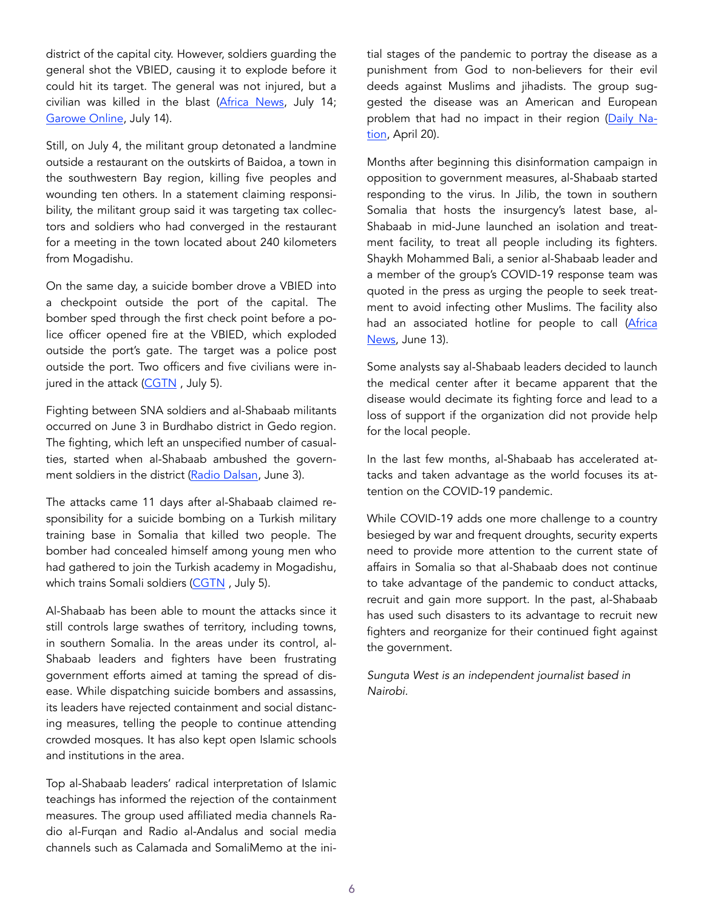district of the capital city. However, soldiers guarding the general shot the VBIED, causing it to explode before it could hit its target. The general was not injured, but a civilian was killed in the blast ([Africa News,](https://www.africanews.com/2020/07/1) July 14; [Garowe Online](https://www.garoweonline.com/en/news/somalia/al-shabaab-takes-responsibility-for-deadly-attack-targeting-army-chief-in-somalia), July 14).

Still, on July 4, the militant group detonated a landmine outside a restaurant on the outskirts of Baidoa, a town in the southwestern Bay region, killing five peoples and wounding ten others. In a statement claiming responsibility, the militant group said it was targeting tax collectors and soldiers who had converged in the restaurant for a meeting in the town located about 240 kilometers from Mogadishu.

On the same day, a suicide bomber drove a VBIED into a checkpoint outside the port of the capital. The bomber sped through the first check point before a police officer opened fire at the VBIED, which exploded outside the port's gate. The target was a police post outside the port. Two officers and five civilians were injured in the attack (CGTN, July 5).

Fighting between SNA soldiers and al-Shabaab militants occurred on June 3 in Burdhabo district in Gedo region. The fighting, which left an unspecified number of casualties, started when al-Shabaab ambushed the govern-ment soldiers in the district [\(Radio Dalsan](https://allafrica.com/stories/202006040219.html), June 3).

The attacks came 11 days after al-Shabaab claimed responsibility for a suicide bombing on a Turkish military training base in Somalia that killed two people. The bomber had concealed himself among young men who had gathered to join the Turkish academy in Mogadishu, which trains Somali soldiers (CGTN, July 5).

Al-Shabaab has been able to mount the attacks since it still controls large swathes of territory, including towns, in southern Somalia. In the areas under its control, al-Shabaab leaders and fighters have been frustrating government efforts aimed at taming the spread of disease. While dispatching suicide bombers and assassins, its leaders have rejected containment and social distancing measures, telling the people to continue attending crowded mosques. It has also kept open Islamic schools and institutions in the area.

Top al-Shabaab leaders' radical interpretation of Islamic teachings has informed the rejection of the containment measures. The group used affiliated media channels Radio al-Furqan and Radio al-Andalus and social media channels such as Calamada and SomaliMemo at the initial stages of the pandemic to portray the disease as a punishment from God to non-believers for their evil deeds against Muslims and jihadists. The group suggested the disease was an American and European problem that had no impact in their region ([Daily Na](https://www.nation.co.ke/kenya/news/africa/covid-19-experts-warn-of-potential-wave-of-extremism-287492)[tion](https://www.nation.co.ke/kenya/news/africa/covid-19-experts-warn-of-potential-wave-of-extremism-287492), April 20).

Months after beginning this disinformation campaign in opposition to government measures, al-Shabaab started responding to the virus. In Jilib, the town in southern Somalia that hosts the insurgency's latest base, al-Shabaab in mid-June launched an isolation and treatment facility, to treat all people including its fighters. Shaykh Mohammed Bali, a senior al-Shabaab leader and a member of the group's COVID-19 response team was quoted in the press as urging the people to seek treatment to avoid infecting other Muslims. The facility also had an associated hotline for people to call [\(Africa](https://www.africanews.com/2020/06/13/somalia-covid-19-hub/) [News](https://www.africanews.com/2020/06/13/somalia-covid-19-hub/), June 13).

Some analysts say al-Shabaab leaders decided to launch the medical center after it became apparent that the disease would decimate its fighting force and lead to a loss of support if the organization did not provide help for the local people.

In the last few months, al-Shabaab has accelerated attacks and taken advantage as the world focuses its attention on the COVID-19 pandemic.

While COVID-19 adds one more challenge to a country besieged by war and frequent droughts, security experts need to provide more attention to the current state of affairs in Somalia so that al-Shabaab does not continue to take advantage of the pandemic to conduct attacks, recruit and gain more support. In the past, al-Shabaab has used such disasters to its advantage to recruit new fighters and reorganize for their continued fight against the government.

*Sunguta West is an independent journalist based in Nairobi.*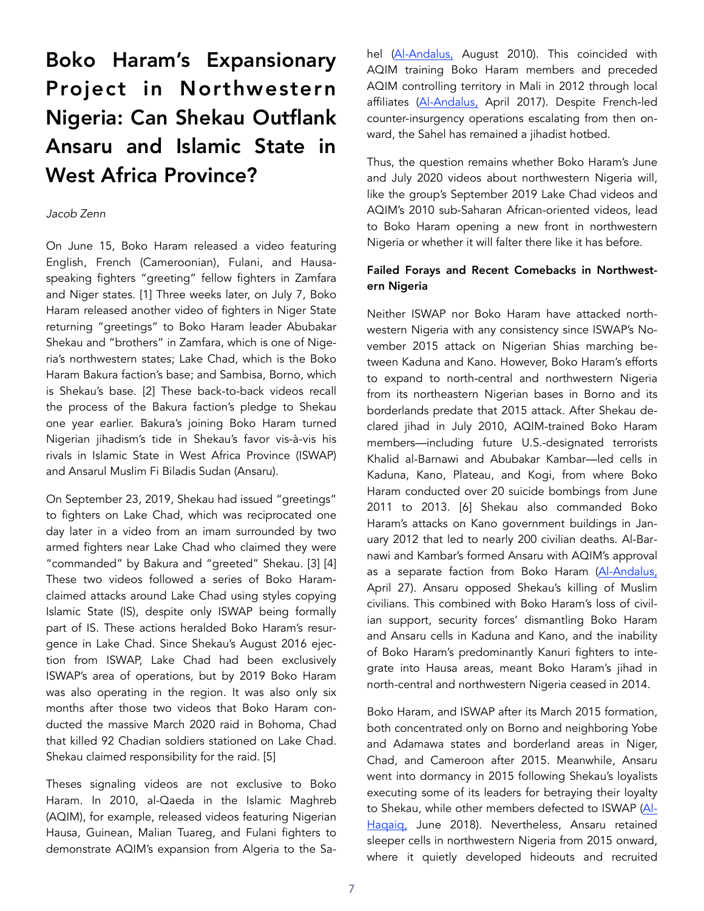# Boko Haram's Expansionary Project in Northwestern Nigeria: Can Shekau Outflank Ansaru and Islamic State in West Africa Province?

#### *Jacob Zenn*

On June 15, Boko Haram released a video featuring English, French (Cameroonian), Fulani, and Hausaspeaking fighters "greeting" fellow fighters in Zamfara and Niger states. [1] Three weeks later, on July 7, Boko Haram released another video of fighters in Niger State returning "greetings" to Boko Haram leader Abubakar Shekau and "brothers" in Zamfara, which is one of Nigeria's northwestern states; Lake Chad, which is the Boko Haram Bakura faction's base; and Sambisa, Borno, which is Shekau's base. [2] These back-to-back videos recall the process of the Bakura faction's pledge to Shekau one year earlier. Bakura's joining Boko Haram turned Nigerian jihadism's tide in Shekau's favor vis-à-vis his rivals in Islamic State in West Africa Province (ISWAP) and Ansarul Muslim Fi Biladis Sudan (Ansaru).

On September 23, 2019, Shekau had issued "greetings" to fighters on Lake Chad, which was reciprocated one day later in a video from an imam surrounded by two armed fighters near Lake Chad who claimed they were "commanded" by Bakura and "greeted" Shekau. [3] [4] These two videos followed a series of Boko Haramclaimed attacks around Lake Chad using styles copying Islamic State (IS), despite only ISWAP being formally part of IS. These actions heralded Boko Haram's resurgence in Lake Chad. Since Shekau's August 2016 ejection from ISWAP, Lake Chad had been exclusively ISWAP's area of operations, but by 2019 Boko Haram was also operating in the region. It was also only six months after those two videos that Boko Haram conducted the massive March 2020 raid in Bohoma, Chad that killed 92 Chadian soldiers stationed on Lake Chad. Shekau claimed responsibility for the raid. [5]

Theses signaling videos are not exclusive to Boko Haram. In 2010, al-Qaeda in the Islamic Maghreb (AQIM), for example, released videos featuring Nigerian Hausa, Guinean, Malian Tuareg, and Fulani fighters to demonstrate AQIM's expansion from Algeria to the Sahel [\(Al-Andalus,](https://unmaskingbokoharam.com/2019/03/28/aqim-fighting-is-prescribed-on-you-2010/) August 2010). This coincided with AQIM training Boko Haram members and preceded AQIM controlling territory in Mali in 2012 through local affiliates ([Al-Andalus,](https://unmaskingbokoharam.com/2019/04/25/aqim-al-andalus-sharia-advice-and-guidance-from-al-bulaydi-for-the-mujahideen-of-nigeria-2017/) April 2017). Despite French-led counter-insurgency operations escalating from then onward, the Sahel has remained a jihadist hotbed.

Thus, the question remains whether Boko Haram's June and July 2020 videos about northwestern Nigeria will, like the group's September 2019 Lake Chad videos and AQIM's 2010 sub-Saharan African-oriented videos, lead to Boko Haram opening a new front in northwestern Nigeria or whether it will falter there like it has before.

## Failed Forays and Recent Comebacks in Northwestern Nigeria

Neither ISWAP nor Boko Haram have attacked northwestern Nigeria with any consistency since ISWAP's November 2015 attack on Nigerian Shias marching between Kaduna and Kano. However, Boko Haram's efforts to expand to north-central and northwestern Nigeria from its northeastern Nigerian bases in Borno and its borderlands predate that 2015 attack. After Shekau declared jihad in July 2010, AQIM-trained Boko Haram members—including future U.S.-designated terrorists Khalid al-Barnawi and Abubakar Kambar—led cells in Kaduna, Kano, Plateau, and Kogi, from where Boko Haram conducted over 20 suicide bombings from June 2011 to 2013. [6] Shekau also commanded Boko Haram's attacks on Kano government buildings in January 2012 that led to nearly 200 civilian deaths. Al-Barnawi and Kambar's formed Ansaru with AQIM's approval as a separate faction from Boko Haram ([Al-Andalus,](https://unmaskingbokoharam.com/2019/04/25/aqim-al-andalus-sharia-advice-and-guidance-from-al-bulaydi-for-the-mujahideen-of-nigeria-2017/) April 27). Ansaru opposed Shekau's killing of Muslim civilians. This combined with Boko Haram's loss of civilian support, security forces' dismantling Boko Haram and Ansaru cells in Kaduna and Kano, and the inability of Boko Haram's predominantly Kanuri fighters to integrate into Hausa areas, meant Boko Haram's jihad in north-central and northwestern Nigeria ceased in 2014.

Boko Haram, and ISWAP after its March 2015 formation, both concentrated only on Borno and neighboring Yobe and Adamawa states and borderland areas in Niger, Chad, and Cameroon after 2015. Meanwhile, Ansaru went into dormancy in 2015 following Shekau's loyalists executing some of its leaders for betraying their loyalty to Shekau, while other members defected to ISWAP [\(Al-](https://unmaskingbokoharam.com/2019/05/10/abu-musab-al-barnawi-)[Haqaiq,](https://unmaskingbokoharam.com/2019/05/10/abu-musab-al-barnawi-) June 2018). Nevertheless, Ansaru retained sleeper cells in northwestern Nigeria from 2015 onward, where it quietly developed hideouts and recruited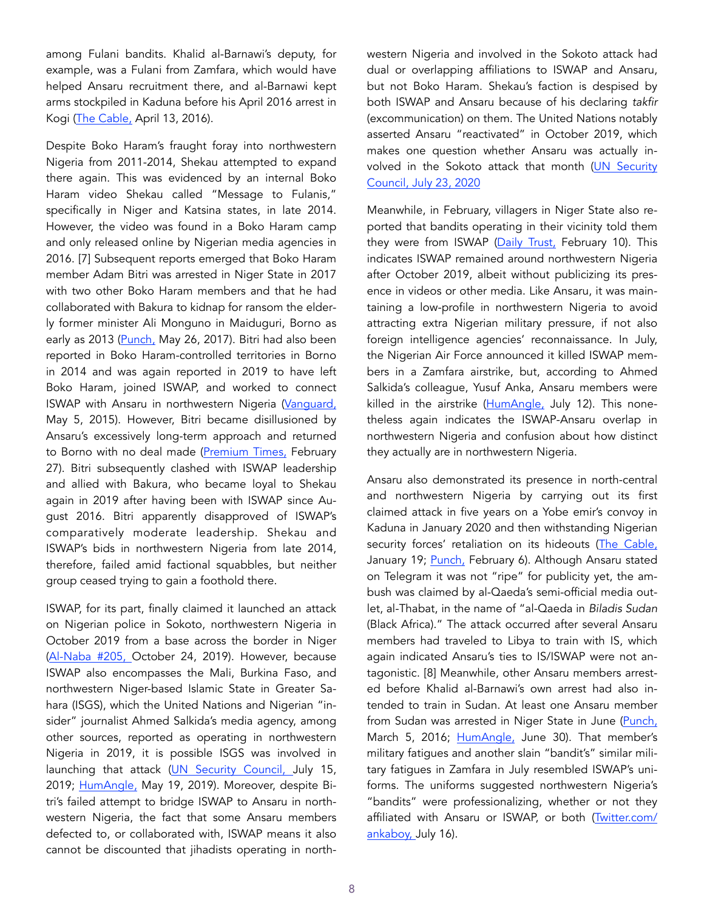among Fulani bandits. Khalid al-Barnawi's deputy, for example, was a Fulani from Zamfara, which would have helped Ansaru recruitment there, and al-Barnawi kept arms stockpiled in Kaduna before his April 2016 arrest in Kogi [\(The Cable,](https://web.thecable.ng/iran-iraq-behind-shiia-sect-says-dss-official) April 13, 2016).

Despite Boko Haram's fraught foray into northwestern Nigeria from 2011-2014, Shekau attempted to expand there again. This was evidenced by an internal Boko Haram video Shekau called "Message to Fulanis," specifically in Niger and Katsina states, in late 2014. However, the video was found in a Boko Haram camp and only released online by Nigerian media agencies in 2016. [7] Subsequent reports emerged that Boko Haram member Adam Bitri was arrested in Niger State in 2017 with two other Boko Haram members and that he had collaborated with Bakura to kidnap for ransom the elderly former minister Ali Monguno in Maiduguri, Borno as early as 2013 [\(Punch,](https://punchng.com/army-raids-boko-haram-cell-in-niger-arrests-three/) May 26, 2017). Bitri had also been reported in Boko Haram-controlled territories in Borno in 2014 and was again reported in 2019 to have left Boko Haram, joined ISWAP, and worked to connect ISWAP with Ansaru in northwestern Nigeria ([Vanguard,](https://www) May 5, 2015). However, Bitri became disillusioned by Ansaru's excessively long-term approach and returned to Borno with no deal made (Premium Times, February 27). Bitri subsequently clashed with ISWAP leadership and allied with Bakura, who became loyal to Shekau again in 2019 after having been with ISWAP since August 2016. Bitri apparently disapproved of ISWAP's comparatively moderate leadership. Shekau and ISWAP's bids in northwestern Nigeria from late 2014, therefore, failed amid factional squabbles, but neither group ceased trying to gain a foothold there.

ISWAP, for its part, finally claimed it launched an attack on Nigerian police in Sokoto, northwestern Nigeria in October 2019 from a base across the border in Niger ([Al-Naba #205,](https://unmaskingbokoharam.com/2019/05/14/a) October 24, 2019). However, because ISWAP also encompasses the Mali, Burkina Faso, and northwestern Niger-based Islamic State in Greater Sahara (ISGS), which the United Nations and Nigerian "insider" journalist Ahmed Salkida's media agency, among other sources, reported as operating in northwestern Nigeria in 2019, it is possible ISGS was involved in launching that attack [\(UN Security Council,](https://www.ecoi.net/en/file/local/2013711/S_2019_570_E.pdf) July 15, 2019; [HumAngle,](https://humangle.ng/jihadis-gaining-grounds-in-nigerias-northwest-report/) May 19, 2019). Moreover, despite Bitri's failed attempt to bridge ISWAP to Ansaru in northwestern Nigeria, the fact that some Ansaru members defected to, or collaborated with, ISWAP means it also cannot be discounted that jihadists operating in northwestern Nigeria and involved in the Sokoto attack had dual or overlapping affiliations to ISWAP and Ansaru, but not Boko Haram. Shekau's faction is despised by both ISWAP and Ansaru because of his declaring *takfir*  (excommunication) on them. The United Nations notably asserted Ansaru "reactivated" in October 2019, which makes one question whether Ansaru was actually involved in the Sokoto attack that month ([UN Security](https://undocs.org/S/2020/717) [Council, July 23, 2020](https://undocs.org/S/2020/717)

Meanwhile, in February, villagers in Niger State also reported that bandits operating in their vicinity told them they were from ISWAP ([Daily Trust,](https://www.dailytrust.com.ng/1-dead-7-injured-as-police-vigilante-engage-terrorists-in-niger.html) February 10). This indicates ISWAP remained around northwestern Nigeria after October 2019, albeit without publicizing its presence in videos or other media. Like Ansaru, it was maintaining a low-profile in northwestern Nigeria to avoid attracting extra Nigerian military pressure, if not also foreign intelligence agencies' reconnaissance. In July, the Nigerian Air Force announced it killed ISWAP members in a Zamfara airstrike, but, according to Ahmed Salkida's colleague, Yusuf Anka, Ansaru members were killed in the airstrike [\(HumAngle,](https://humangle.ng/military-says-it-bombed-iswap-positions-in-zamfara-it-could-be-ansaru/) July 12). This nonetheless again indicates the ISWAP-Ansaru overlap in northwestern Nigeria and confusion about how distinct they actually are in northwestern Nigeria.

Ansaru also demonstrated its presence in north-central and northwestern Nigeria by carrying out its first claimed attack in five years on a Yobe emir's convoy in Kaduna in January 2020 and then withstanding Nigerian security forces' retaliation on its hideouts ([The Cable,](https://www.thecable.ng/militant-group-claims-responsibilit) January 19; [Punch,](https://punchng.com/ansaru-terrorists-attack-police-helicopter-with-war-weapon-in-kaduna/) February 6). Although Ansaru stated on Telegram it was not "ripe" for publicity yet, the ambush was claimed by al-Qaeda's semi-official media outlet, al-Thabat, in the name of "al-Qaeda in *Biladis Sudan* (Black Africa)." The attack occurred after several Ansaru members had traveled to Libya to train with IS, which again indicated Ansaru's ties to IS/ISWAP were not antagonistic. [8] Meanwhile, other Ansaru members arrested before Khalid al-Barnawi's own arrest had also intended to train in Sudan. At least one Ansaru member from Sudan was arrested in Niger State in June ([Punch,](https://punchng) March 5, 2016; [HumAngle,](https://humangle.ng/police-arrest-two-foreign-jihadis-in-niger-after-military-airstrike/) June 30). That member's military fatigues and another slain "bandit's" similar military fatigues in Zamfara in July resembled ISWAP's uniforms. The uniforms suggested northwestern Nigeria's "bandits" were professionalizing, whether or not they affiliated with Ansaru or ISWAP, or both [\(Twitter.com/](https://twitter.com/ankab) [ankaboy, J](https://twitter.com/ankab)uly 16).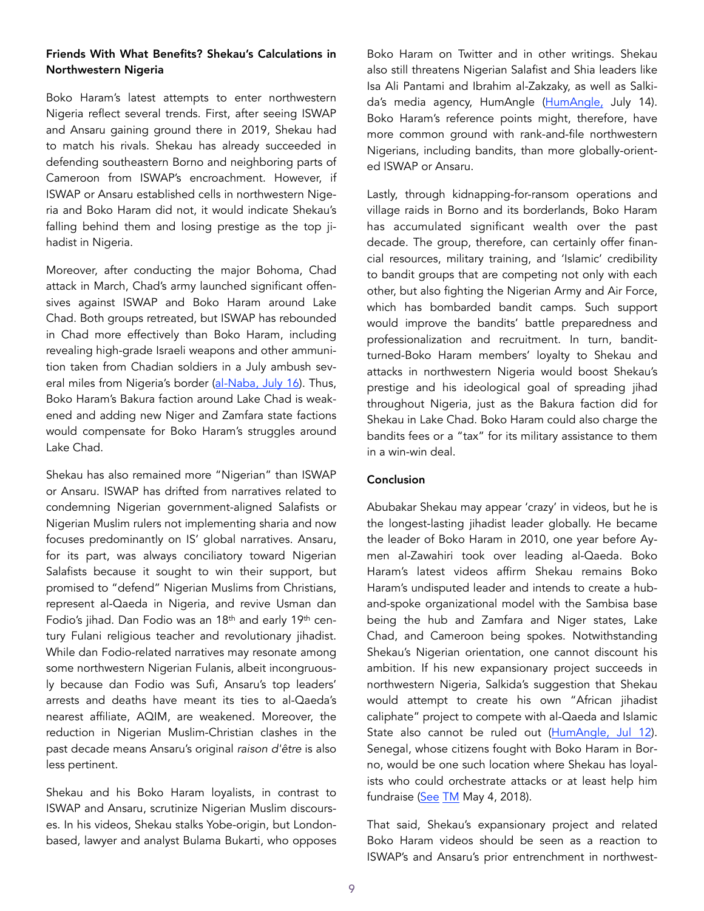## Friends With What Benefits? Shekau's Calculations in Northwestern Nigeria

Boko Haram's latest attempts to enter northwestern Nigeria reflect several trends. First, after seeing ISWAP and Ansaru gaining ground there in 2019, Shekau had to match his rivals. Shekau has already succeeded in defending southeastern Borno and neighboring parts of Cameroon from ISWAP's encroachment. However, if ISWAP or Ansaru established cells in northwestern Nigeria and Boko Haram did not, it would indicate Shekau's falling behind them and losing prestige as the top jihadist in Nigeria.

Moreover, after conducting the major Bohoma, Chad attack in March, Chad's army launched significant offensives against ISWAP and Boko Haram around Lake Chad. Both groups retreated, but ISWAP has rebounded in Chad more effectively than Boko Haram, including revealing high-grade Israeli weapons and other ammunition taken from Chadian soldiers in a July ambush sev-eral miles from Nigeria's border [\(al-Naba, July 16](https://twitter.com/CalibreObscura/status/1283885250129559563)). Thus, Boko Haram's Bakura faction around Lake Chad is weakened and adding new Niger and Zamfara state factions would compensate for Boko Haram's struggles around Lake Chad.

Shekau has also remained more "Nigerian" than ISWAP or Ansaru. ISWAP has drifted from narratives related to condemning Nigerian government-aligned Salafists or Nigerian Muslim rulers not implementing sharia and now focuses predominantly on IS' global narratives. Ansaru, for its part, was always conciliatory toward Nigerian Salafists because it sought to win their support, but promised to "defend" Nigerian Muslims from Christians, represent al-Qaeda in Nigeria, and revive Usman dan Fodio's jihad. Dan Fodio was an 18th and early 19th century Fulani religious teacher and revolutionary jihadist. While dan Fodio-related narratives may resonate among some northwestern Nigerian Fulanis, albeit incongruously because dan Fodio was Sufi, Ansaru's top leaders' arrests and deaths have meant its ties to al-Qaeda's nearest affiliate, AQIM, are weakened. Moreover, the reduction in Nigerian Muslim-Christian clashes in the past decade means Ansaru's original *raison d'être* is also less pertinent.

Shekau and his Boko Haram loyalists, in contrast to ISWAP and Ansaru, scrutinize Nigerian Muslim discourses. In his videos, Shekau stalks Yobe-origin, but Londonbased, lawyer and analyst Bulama Bukarti, who opposes

Boko Haram on Twitter and in other writings. Shekau also still threatens Nigerian Salafist and Shia leaders like Isa Ali Pantami and Ibrahim al-Zakzaky, as well as Salkida's media agency, HumAngle [\(HumAngle,](https://humangle.ng/shek) July 14). Boko Haram's reference points might, therefore, have more common ground with rank-and-file northwestern Nigerians, including bandits, than more globally-oriented ISWAP or Ansaru.

Lastly, through kidnapping-for-ransom operations and village raids in Borno and its borderlands, Boko Haram has accumulated significant wealth over the past decade. The group, therefore, can certainly offer financial resources, military training, and 'Islamic' credibility to bandit groups that are competing not only with each other, but also fighting the Nigerian Army and Air Force, which has bombarded bandit camps. Such support would improve the bandits' battle preparedness and professionalization and recruitment. In turn, banditturned-Boko Haram members' loyalty to Shekau and attacks in northwestern Nigeria would boost Shekau's prestige and his ideological goal of spreading jihad throughout Nigeria, just as the Bakura faction did for Shekau in Lake Chad. Boko Haram could also charge the bandits fees or a "tax" for its military assistance to them in a win-win deal.

#### Conclusion

Abubakar Shekau may appear 'crazy' in videos, but he is the longest-lasting jihadist leader globally. He became the leader of Boko Haram in 2010, one year before Aymen al-Zawahiri took over leading al-Qaeda. Boko Haram's latest videos affirm Shekau remains Boko Haram's undisputed leader and intends to create a huband-spoke organizational model with the Sambisa base being the hub and Zamfara and Niger states, Lake Chad, and Cameroon being spokes. Notwithstanding Shekau's Nigerian orientation, one cannot discount his ambition. If his new expansionary project succeeds in northwestern Nigeria, Salkida's suggestion that Shekau would attempt to create his own "African jihadist caliphate" project to compete with al-Qaeda and Islamic State also cannot be ruled out ([HumAngle, Jul 12\)](https://humangle.ng/nigerias-terror-king-shekau-connects-east-west-and-centre-in-a-puzzling-agenda/). Senegal, whose citizens fought with Boko Haram in Borno, would be one such location where Shekau has loyalists who could orchestrate attacks or at least help him fundraise ([See](https://jamestown.org/program/boko-harams-senegalese-foreign-fighters-cases-trends-and-implications/) [TM](https://jamestown.org/program/boko-harams-senegalese-foreign-fighter) May 4, 2018).

That said, Shekau's expansionary project and related Boko Haram videos should be seen as a reaction to ISWAP's and Ansaru's prior entrenchment in northwest-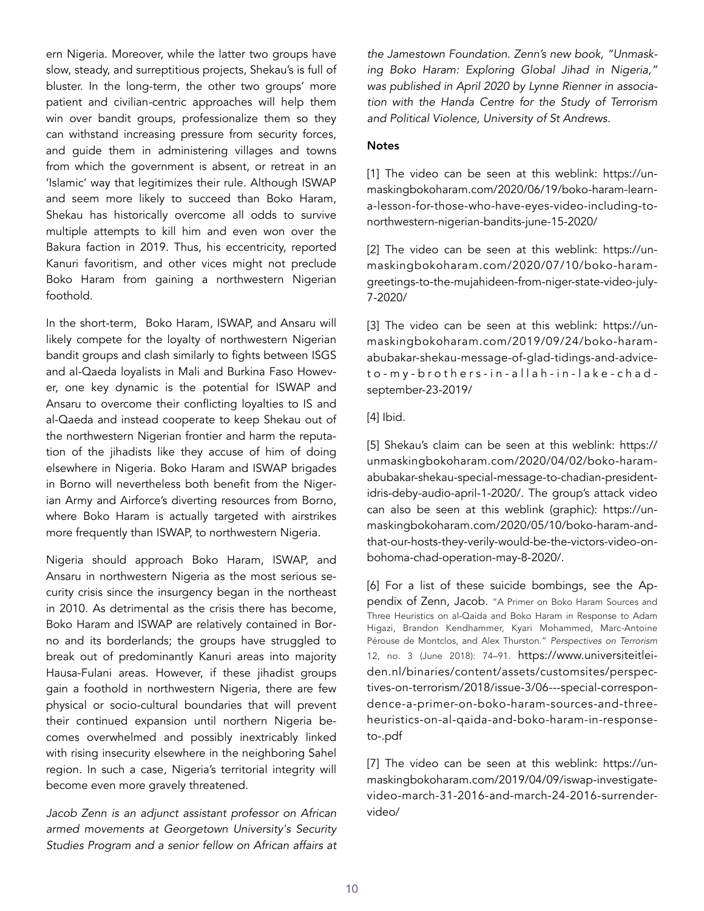ern Nigeria. Moreover, while the latter two groups have slow, steady, and surreptitious projects, Shekau's is full of bluster. In the long-term, the other two groups' more patient and civilian-centric approaches will help them win over bandit groups, professionalize them so they can withstand increasing pressure from security forces, and guide them in administering villages and towns from which the government is absent, or retreat in an 'Islamic' way that legitimizes their rule. Although ISWAP and seem more likely to succeed than Boko Haram, Shekau has historically overcome all odds to survive multiple attempts to kill him and even won over the Bakura faction in 2019. Thus, his eccentricity, reported Kanuri favoritism, and other vices might not preclude Boko Haram from gaining a northwestern Nigerian foothold.

In the short-term, Boko Haram, ISWAP, and Ansaru will likely compete for the loyalty of northwestern Nigerian bandit groups and clash similarly to fights between ISGS and al-Qaeda loyalists in Mali and Burkina Faso However, one key dynamic is the potential for ISWAP and Ansaru to overcome their conflicting loyalties to IS and al-Qaeda and instead cooperate to keep Shekau out of the northwestern Nigerian frontier and harm the reputation of the jihadists like they accuse of him of doing elsewhere in Nigeria. Boko Haram and ISWAP brigades in Borno will nevertheless both benefit from the Nigerian Army and Airforce's diverting resources from Borno, where Boko Haram is actually targeted with airstrikes more frequently than ISWAP, to northwestern Nigeria.

Nigeria should approach Boko Haram, ISWAP, and Ansaru in northwestern Nigeria as the most serious security crisis since the insurgency began in the northeast in 2010. As detrimental as the crisis there has become, Boko Haram and ISWAP are relatively contained in Borno and its borderlands; the groups have struggled to break out of predominantly Kanuri areas into majority Hausa-Fulani areas. However, if these jihadist groups gain a foothold in northwestern Nigeria, there are few physical or socio-cultural boundaries that will prevent their continued expansion until northern Nigeria becomes overwhelmed and possibly inextricably linked with rising insecurity elsewhere in the neighboring Sahel region. In such a case, Nigeria's territorial integrity will become even more gravely threatened.

*Jacob Zenn is an adjunct assistant professor on African armed movements at Georgetown University's Security Studies Program and a senior fellow on African affairs at* 

*the Jamestown Foundation. Zenn's new book, "Unmasking Boko Haram: Exploring Global Jihad in Nigeria," was published in April 2020 by Lynne Rienner in association with the Handa Centre for the Study of Terrorism and Political Violence, University of St Andrews.* 

### **Notes**

[1] The video can be seen at this weblink: https://unmaskingbokoharam.com/2020/06/19/boko-haram-learna-lesson-for-those-who-have-eyes-video-including-tonorthwestern-nigerian-bandits-june-15-2020/

[2] The video can be seen at this weblink: https://unmaskingbokoharam.com/2020/07/10/boko-haramgreetings-to-the-mujahideen-from-niger-state-video-july-7-2020/

[3] The video can be seen at this weblink: https://unmaskingbokoharam.com/2019/09/24/boko-haramabubakar-shekau-message-of-glad-tidings-and-adviceto-my-brothers-in-allah-in-lake-chadseptember-23-2019/

### [4] Ibid.

[5] Shekau's claim can be seen at this weblink: https:// unmaskingbokoharam.com/2020/04/02/boko-haramabubakar-shekau-special-message-to-chadian-presidentidris-deby-audio-april-1-2020/. The group's attack video can also be seen at this weblink (graphic): https://unmaskingbokoharam.com/2020/05/10/boko-haram-andthat-our-hosts-they-verily-would-be-the-victors-video-onbohoma-chad-operation-may-8-2020/.

[6] For a list of these suicide bombings, see the Appendix of Zenn, Jacob. "A Primer on Boko Haram Sources and Three Heuristics on al-Qaida and Boko Haram in Response to Adam Higazi, Brandon Kendhammer, Kyari Mohammed, Marc-Antoine Pérouse de Montclos, and Alex Thurston." *Perspectives on Terrorism*  12, no. 3 (June 2018): 74–91. https://www.universiteitleiden.nl/binaries/content/assets/customsites/perspectives-on-terrorism/2018/issue-3/06---special-correspondence-a-primer-on-boko-haram-sources-and-threeheuristics-on-al-qaida-and-boko-haram-in-responseto-.pdf

[7] The video can be seen at this weblink: https://unmaskingbokoharam.com/2019/04/09/iswap-investigatevideo-march-31-2016-and-march-24-2016-surrendervideo/